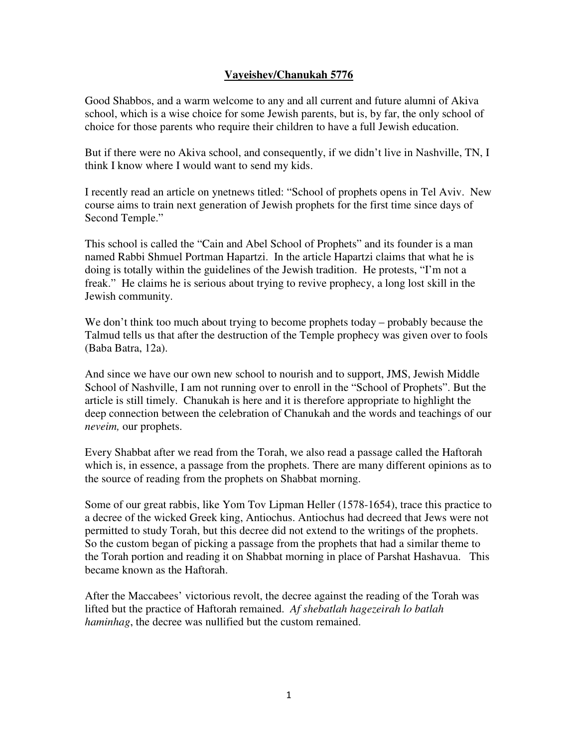## **Vayeishev/Chanukah 5776**

Good Shabbos, and a warm welcome to any and all current and future alumni of Akiva school, which is a wise choice for some Jewish parents, but is, by far, the only school of choice for those parents who require their children to have a full Jewish education.

But if there were no Akiva school, and consequently, if we didn't live in Nashville, TN, I think I know where I would want to send my kids.

I recently read an article on ynetnews titled: "School of prophets opens in Tel Aviv. New course aims to train next generation of Jewish prophets for the first time since days of Second Temple."

This school is called the "Cain and Abel School of Prophets" and its founder is a man named Rabbi Shmuel Portman Hapartzi. In the article Hapartzi claims that what he is doing is totally within the guidelines of the Jewish tradition. He protests, "I'm not a freak." He claims he is serious about trying to revive prophecy, a long lost skill in the Jewish community.

We don't think too much about trying to become prophets today – probably because the Talmud tells us that after the destruction of the Temple prophecy was given over to fools (Baba Batra, 12a).

And since we have our own new school to nourish and to support, JMS, Jewish Middle School of Nashville, I am not running over to enroll in the "School of Prophets". But the article is still timely. Chanukah is here and it is therefore appropriate to highlight the deep connection between the celebration of Chanukah and the words and teachings of our *neveim,* our prophets.

Every Shabbat after we read from the Torah, we also read a passage called the Haftorah which is, in essence, a passage from the prophets. There are many different opinions as to the source of reading from the prophets on Shabbat morning.

Some of our great rabbis, like Yom Tov Lipman Heller (1578-1654), trace this practice to a decree of the wicked Greek king, Antiochus. Antiochus had decreed that Jews were not permitted to study Torah, but this decree did not extend to the writings of the prophets. So the custom began of picking a passage from the prophets that had a similar theme to the Torah portion and reading it on Shabbat morning in place of Parshat Hashavua. This became known as the Haftorah.

After the Maccabees' victorious revolt, the decree against the reading of the Torah was lifted but the practice of Haftorah remained. *Af shebatlah hagezeirah lo batlah haminhag*, the decree was nullified but the custom remained.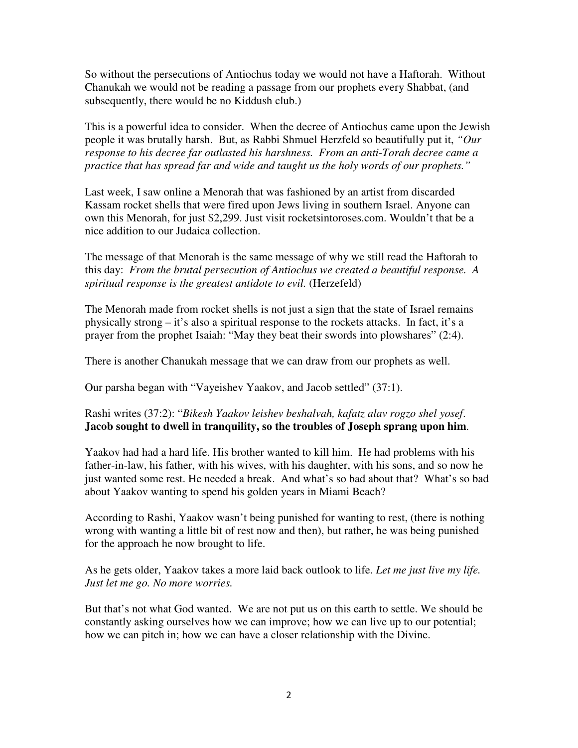So without the persecutions of Antiochus today we would not have a Haftorah. Without Chanukah we would not be reading a passage from our prophets every Shabbat, (and subsequently, there would be no Kiddush club.)

This is a powerful idea to consider. When the decree of Antiochus came upon the Jewish people it was brutally harsh. But, as Rabbi Shmuel Herzfeld so beautifully put it, *"Our response to his decree far outlasted his harshness. From an anti-Torah decree came a practice that has spread far and wide and taught us the holy words of our prophets."*

Last week, I saw online a Menorah that was fashioned by an artist from discarded Kassam rocket shells that were fired upon Jews living in southern Israel. Anyone can own this Menorah, for just \$2,299. Just visit rocketsintoroses.com. Wouldn't that be a nice addition to our Judaica collection.

The message of that Menorah is the same message of why we still read the Haftorah to this day: *From the brutal persecution of Antiochus we created a beautiful response. A spiritual response is the greatest antidote to evil.* (Herzefeld)

The Menorah made from rocket shells is not just a sign that the state of Israel remains physically strong – it's also a spiritual response to the rockets attacks. In fact, it's a prayer from the prophet Isaiah: "May they beat their swords into plowshares" (2:4).

There is another Chanukah message that we can draw from our prophets as well.

Our parsha began with "Vayeishev Yaakov, and Jacob settled" (37:1).

## Rashi writes (37:2): "*Bikesh Yaakov leishev beshalvah, kafatz alav rogzo shel yosef*. **Jacob sought to dwell in tranquility, so the troubles of Joseph sprang upon him**.

Yaakov had had a hard life. His brother wanted to kill him. He had problems with his father-in-law, his father, with his wives, with his daughter, with his sons, and so now he just wanted some rest. He needed a break. And what's so bad about that? What's so bad about Yaakov wanting to spend his golden years in Miami Beach?

According to Rashi, Yaakov wasn't being punished for wanting to rest, (there is nothing wrong with wanting a little bit of rest now and then), but rather, he was being punished for the approach he now brought to life.

As he gets older, Yaakov takes a more laid back outlook to life. *Let me just live my life. Just let me go. No more worries.* 

But that's not what God wanted. We are not put us on this earth to settle. We should be constantly asking ourselves how we can improve; how we can live up to our potential; how we can pitch in; how we can have a closer relationship with the Divine.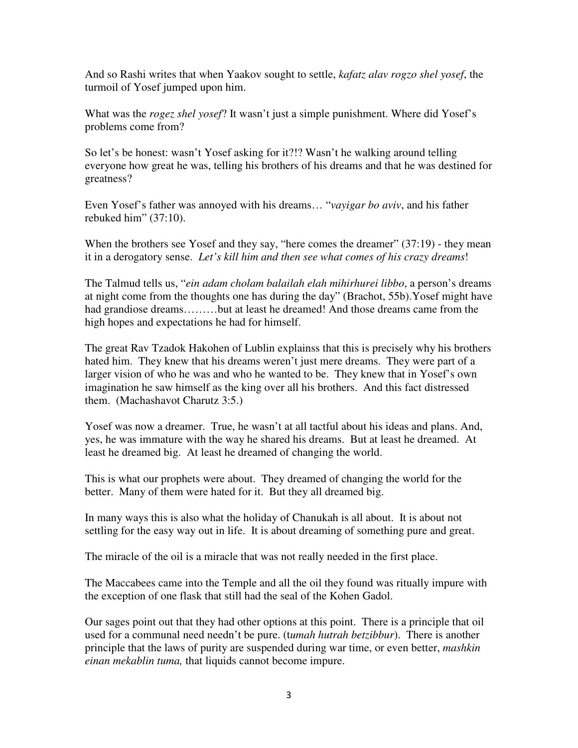And so Rashi writes that when Yaakov sought to settle, *kafatz alav rogzo shel yosef*, the turmoil of Yosef jumped upon him.

What was the *rogez shel yosef*? It wasn't just a simple punishment. Where did Yosef's problems come from?

So let's be honest: wasn't Yosef asking for it?!? Wasn't he walking around telling everyone how great he was, telling his brothers of his dreams and that he was destined for greatness?

Even Yosef's father was annoyed with his dreams… "*vayigar bo aviv*, and his father rebuked him" (37:10).

When the brothers see Yosef and they say, "here comes the dreamer" (37:19) - they mean it in a derogatory sense. *Let's kill him and then see what comes of his crazy dreams*!

The Talmud tells us, "*ein adam cholam balailah elah mihirhurei libbo*, a person's dreams at night come from the thoughts one has during the day" (Brachot, 55b).Yosef might have had grandiose dreams........but at least he dreamed! And those dreams came from the high hopes and expectations he had for himself.

The great Rav Tzadok Hakohen of Lublin explainss that this is precisely why his brothers hated him. They knew that his dreams weren't just mere dreams. They were part of a larger vision of who he was and who he wanted to be. They knew that in Yosef's own imagination he saw himself as the king over all his brothers. And this fact distressed them. (Machashavot Charutz 3:5.)

Yosef was now a dreamer. True, he wasn't at all tactful about his ideas and plans. And, yes, he was immature with the way he shared his dreams. But at least he dreamed. At least he dreamed big. At least he dreamed of changing the world.

This is what our prophets were about. They dreamed of changing the world for the better. Many of them were hated for it. But they all dreamed big.

In many ways this is also what the holiday of Chanukah is all about. It is about not settling for the easy way out in life. It is about dreaming of something pure and great.

The miracle of the oil is a miracle that was not really needed in the first place.

The Maccabees came into the Temple and all the oil they found was ritually impure with the exception of one flask that still had the seal of the Kohen Gadol.

Our sages point out that they had other options at this point. There is a principle that oil used for a communal need needn't be pure. (t*umah hutrah betzibbur*). There is another principle that the laws of purity are suspended during war time, or even better, *mashkin einan mekablin tuma,* that liquids cannot become impure.